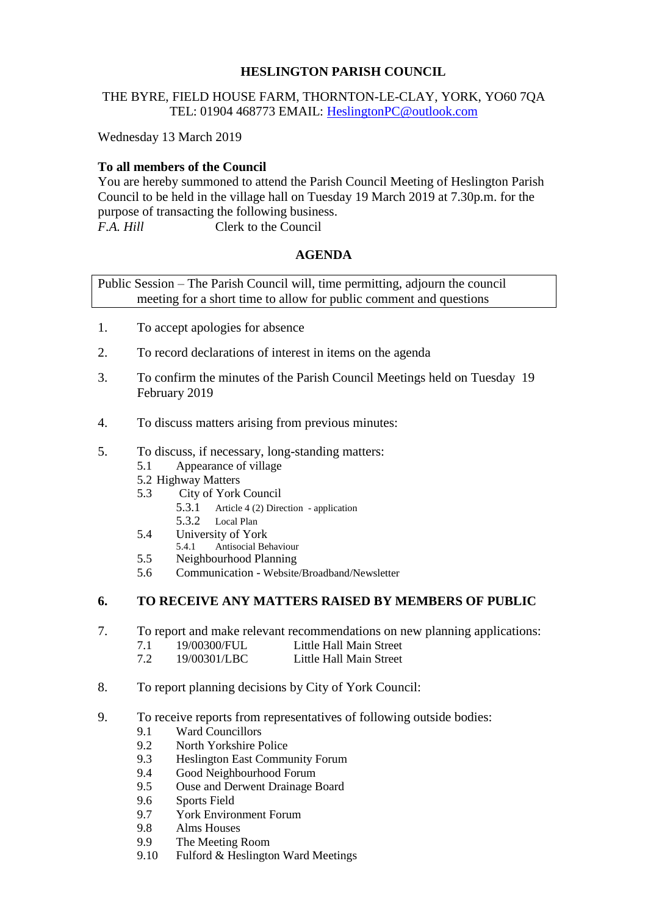# **HESLINGTON PARISH COUNCIL**

## THE BYRE, FIELD HOUSE FARM, THORNTON-LE-CLAY, YORK, YO60 7QA TEL: 01904 468773 EMAIL: [HeslingtonPC@outlook.com](mailto:HeslingtonPC@outlook.com)

Wednesday 13 March 2019

# **To all members of the Council**

You are hereby summoned to attend the Parish Council Meeting of Heslington Parish Council to be held in the village hall on Tuesday 19 March 2019 at 7.30p.m. for the purpose of transacting the following business. *F.A. Hill* Clerk to the Council

### **AGENDA**

Public Session – The Parish Council will, time permitting, adjourn the council meeting for a short time to allow for public comment and questions

- 1. To accept apologies for absence
- 2. To record declarations of interest in items on the agenda
- 3. To confirm the minutes of the Parish Council Meetings held on Tuesday 19 February 2019
- 4. To discuss matters arising from previous minutes:
- 5. To discuss, if necessary, long-standing matters:
	- 5.1 Appearance of village
	- 5.2 Highway Matters
	- 5.3 City of York Council
		- 5.3.1 Article 4 (2) Direction application 5.3.2 Local Plan
		-
	- 5.4 University of York 5.4.1 Antisocial Behaviour
	- 5.5 Neighbourhood Planning
	- 5.6 Communication Website/Broadband/Newsletter

### **6. TO RECEIVE ANY MATTERS RAISED BY MEMBERS OF PUBLIC**

- 7. To report and make relevant recommendations on new planning applications:
	- 7.1 19/00300/FUL Little Hall Main Street
	- 7.2 19/00301/LBC Little Hall Main Street
- 8. To report planning decisions by City of York Council:
- 9. To receive reports from representatives of following outside bodies:
	- 9.1 Ward Councillors
	- 9.2 North Yorkshire Police
	- 9.3 Heslington East Community Forum
	- 9.4 Good Neighbourhood Forum
	- 9.5 Ouse and Derwent Drainage Board
	- 9.6 Sports Field
	- 9.7 York Environment Forum
	- 9.8 Alms Houses
	- 9.9 The Meeting Room
	- 9.10 Fulford & Heslington Ward Meetings